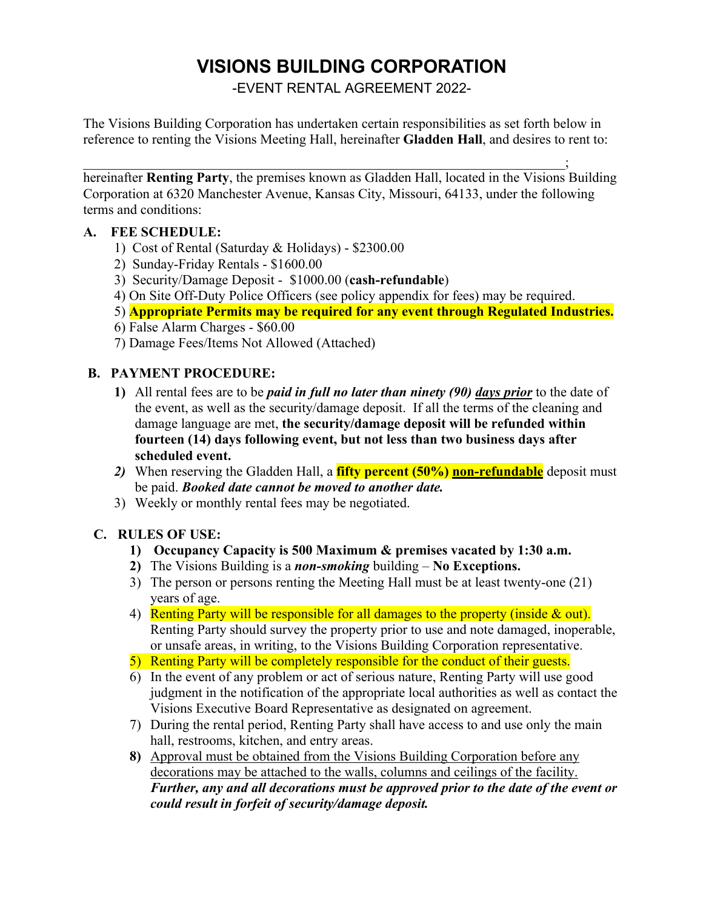## **VISIONS BUILDING CORPORATION**

-EVENT RENTAL AGREEMENT 2022-

The Visions Building Corporation has undertaken certain responsibilities as set forth below in reference to renting the Visions Meeting Hall, hereinafter **Gladden Hall**, and desires to rent to:

 $\qquad \qquad \qquad \qquad \qquad \qquad \qquad \qquad \qquad \qquad ;$ hereinafter **Renting Party**, the premises known as Gladden Hall, located in the Visions Building Corporation at 6320 Manchester Avenue, Kansas City, Missouri, 64133, under the following terms and conditions:

#### **A. FEE SCHEDULE:**

- 1) Cost of Rental (Saturday & Holidays) \$2300.00
- 2) Sunday-Friday Rentals \$1600.00
- 3) Security/Damage Deposit \$1000.00 (**cash-refundable**)
- 4) On Site Off-Duty Police Officers (see policy appendix for fees) may be required.
- 5) **Appropriate Permits may be required for any event through Regulated Industries.**
- 6) False Alarm Charges \$60.00
- 7) Damage Fees/Items Not Allowed (Attached)

## **B. PAYMENT PROCEDURE:**

- **1)** All rental fees are to be *paid in full no later than ninety (90) days prior* to the date of the event, as well as the security/damage deposit. If all the terms of the cleaning and damage language are met, **the security/damage deposit will be refunded within fourteen (14) days following event, but not less than two business days after scheduled event.**
- 2) When reserving the Gladden Hall, a **fifty percent (50%) non-refundable** deposit must be paid. *Booked date cannot be moved to another date.*
- 3) Weekly or monthly rental fees may be negotiated.

## **C. RULES OF USE:**

- **1) Occupancy Capacity is 500 Maximum & premises vacated by 1:30 a.m.**
- **2)** The Visions Building is a *non-smoking* building **No Exceptions.**
- 3) The person or persons renting the Meeting Hall must be at least twenty-one (21) years of age.
- 4) Renting Party will be responsible for all damages to the property (inside & out). Renting Party should survey the property prior to use and note damaged, inoperable, or unsafe areas, in writing, to the Visions Building Corporation representative.
- 5) Renting Party will be completely responsible for the conduct of their guests.
- 6) In the event of any problem or act of serious nature, Renting Party will use good judgment in the notification of the appropriate local authorities as well as contact the Visions Executive Board Representative as designated on agreement.
- 7) During the rental period, Renting Party shall have access to and use only the main hall, restrooms, kitchen, and entry areas.
- **8)** Approval must be obtained from the Visions Building Corporation before any decorations may be attached to the walls, columns and ceilings of the facility. *Further, any and all decorations must be approved prior to the date of the event or could result in forfeit of security/damage deposit.*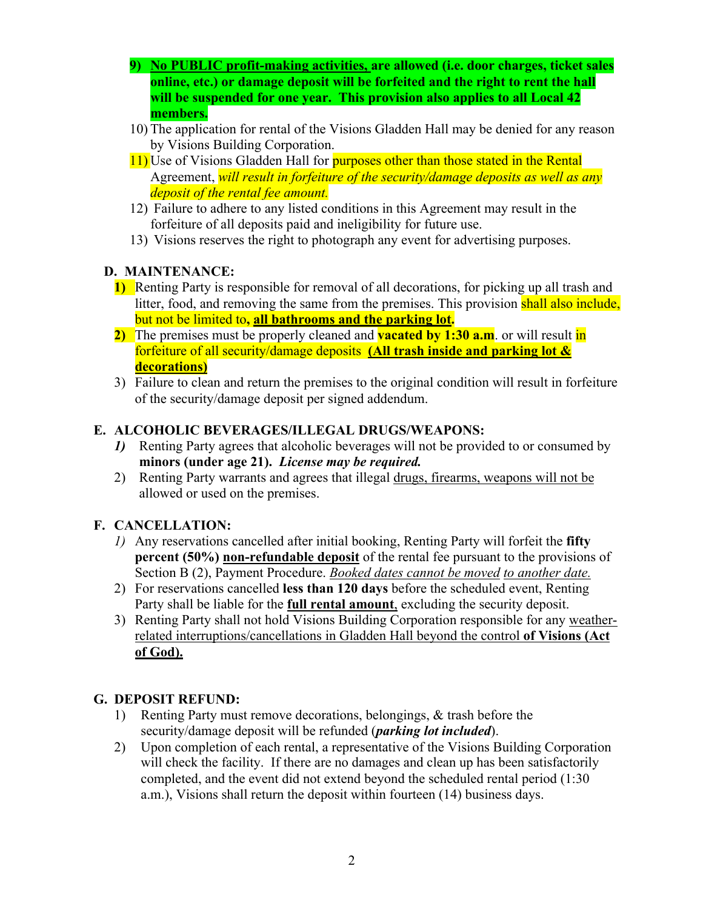- **9) No PUBLIC profit-making activities, are allowed (i.e. door charges, ticket sales online, etc.) or damage deposit will be forfeited and the right to rent the hall will be suspended for one year. This provision also applies to all Local 42 members.**
- 10) The application for rental of the Visions Gladden Hall may be denied for any reason by Visions Building Corporation.
- 11) Use of Visions Gladden Hall for **purposes other than those stated in the Rental** Agreement, *will result in forfeiture of the security/damage deposits as well as any deposit of the rental fee amount.*
- 12) Failure to adhere to any listed conditions in this Agreement may result in the forfeiture of all deposits paid and ineligibility for future use.
- 13) Visions reserves the right to photograph any event for advertising purposes.

## **D. MAINTENANCE:**

- **1)** Renting Party is responsible for removal of all decorations, for picking up all trash and litter, food, and removing the same from the premises. This provision shall also include, but not be limited to**, all bathrooms and the parking lot.**
- **2)** The premises must be properly cleaned and **vacated by 1:30 a.m**. or will result in forfeiture of all security/damage deposits **(All trash inside and parking lot & decorations)**
- 3) Failure to clean and return the premises to the original condition will result in forfeiture of the security/damage deposit per signed addendum.

## **E. ALCOHOLIC BEVERAGES/ILLEGAL DRUGS/WEAPONS:**

- *1)* Renting Party agrees that alcoholic beverages will not be provided to or consumed by **minors (under age 21).** *License may be required.*
- 2) Renting Party warrants and agrees that illegal drugs, firearms, weapons will not be allowed or used on the premises.

## **F. CANCELLATION:**

- *1)* Any reservations cancelled after initial booking, Renting Party will forfeit the **fifty percent (50%) non-refundable deposit** of the rental fee pursuant to the provisions of Section B (2), Payment Procedure. *Booked dates cannot be moved to another date.*
- 2) For reservations cancelled **less than 120 days** before the scheduled event, Renting Party shall be liable for the **full rental amount**, excluding the security deposit.
- 3) Renting Party shall not hold Visions Building Corporation responsible for any weatherrelated interruptions/cancellations in Gladden Hall beyond the control **of Visions (Act of God).**

## **G. DEPOSIT REFUND:**

- 1) Renting Party must remove decorations, belongings, & trash before the security/damage deposit will be refunded (*parking lot included*).
- 2) Upon completion of each rental, a representative of the Visions Building Corporation will check the facility. If there are no damages and clean up has been satisfactorily completed, and the event did not extend beyond the scheduled rental period (1:30 a.m.), Visions shall return the deposit within fourteen (14) business days.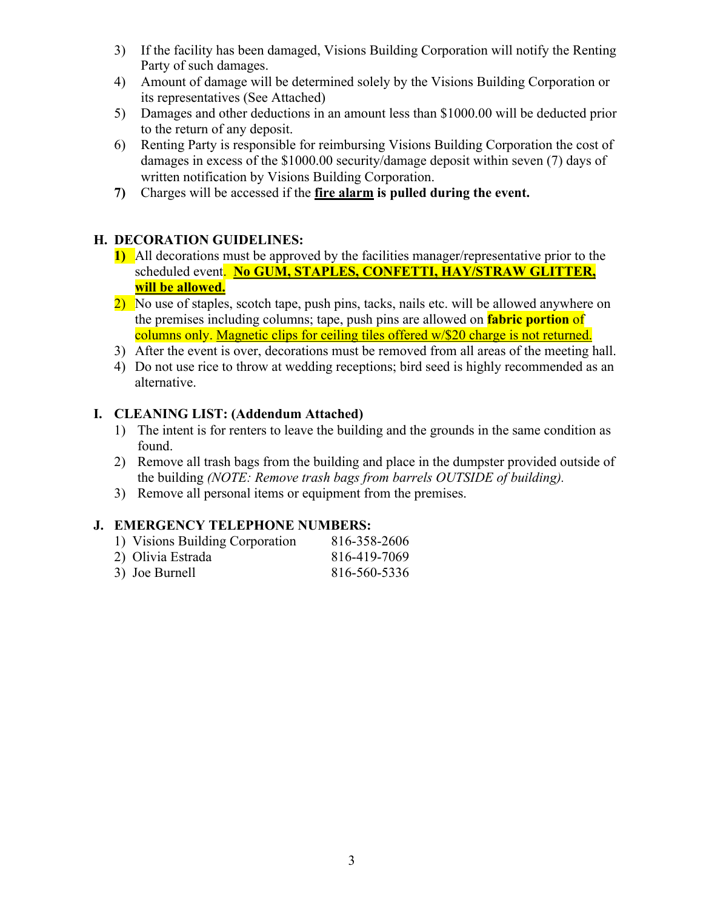- 3) If the facility has been damaged, Visions Building Corporation will notify the Renting Party of such damages.
- 4) Amount of damage will be determined solely by the Visions Building Corporation or its representatives (See Attached)
- 5) Damages and other deductions in an amount less than \$1000.00 will be deducted prior to the return of any deposit.
- 6) Renting Party is responsible for reimbursing Visions Building Corporation the cost of damages in excess of the \$1000.00 security/damage deposit within seven (7) days of written notification by Visions Building Corporation.
- **7)** Charges will be accessed if the **fire alarm is pulled during the event.**

#### **H. DECORATION GUIDELINES:**

- **1)** All decorations must be approved by the facilities manager/representative prior to the scheduled event. **No GUM, STAPLES, CONFETTI, HAY/STRAW GLITTER, will be allowed.**
- 2) No use of staples, scotch tape, push pins, tacks, nails etc. will be allowed anywhere on the premises including columns; tape, push pins are allowed on **fabric portion** of columns only. Magnetic clips for ceiling tiles offered w/\$20 charge is not returned.
- 3) After the event is over, decorations must be removed from all areas of the meeting hall.
- 4) Do not use rice to throw at wedding receptions; bird seed is highly recommended as an alternative.

#### **I. CLEANING LIST: (Addendum Attached)**

- 1) The intent is for renters to leave the building and the grounds in the same condition as found.
- 2) Remove all trash bags from the building and place in the dumpster provided outside of the building *(NOTE: Remove trash bags from barrels OUTSIDE of building).*
- 3) Remove all personal items or equipment from the premises.

#### **J. EMERGENCY TELEPHONE NUMBERS:**

| 1) Visions Building Corporation | 816-358-2606 |
|---------------------------------|--------------|
| 2) Olivia Estrada               | 816-419-7069 |
| 3) Joe Burnell                  | 816-560-5336 |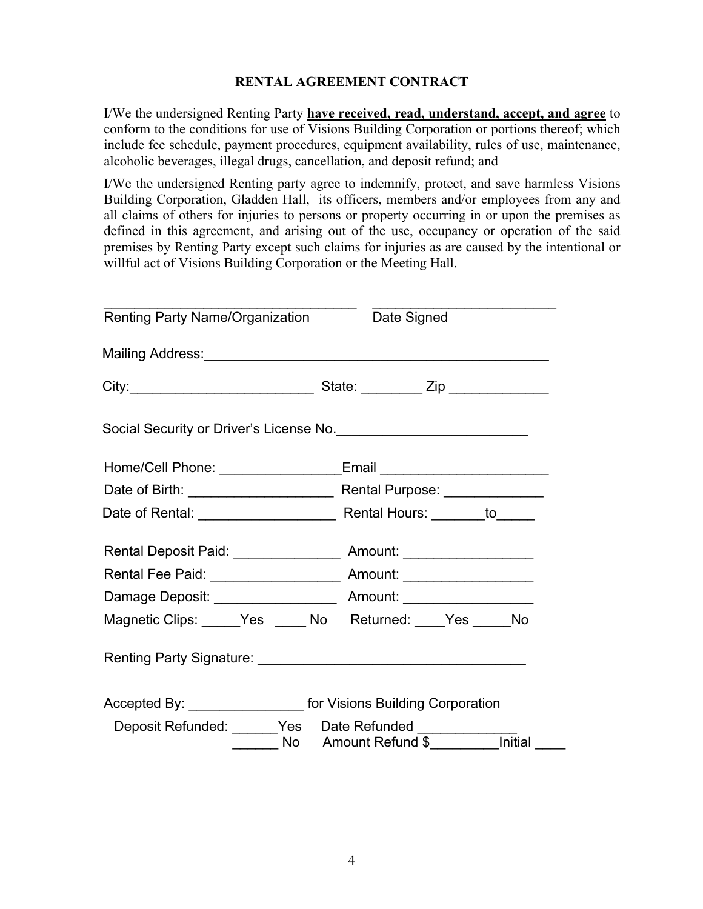#### **RENTAL AGREEMENT CONTRACT**

I/We the undersigned Renting Party **have received, read, understand, accept, and agree** to conform to the conditions for use of Visions Building Corporation or portions thereof; which include fee schedule, payment procedures, equipment availability, rules of use, maintenance, alcoholic beverages, illegal drugs, cancellation, and deposit refund; and

I/We the undersigned Renting party agree to indemnify, protect, and save harmless Visions Building Corporation, Gladden Hall, its officers, members and/or employees from any and all claims of others for injuries to persons or property occurring in or upon the premises as defined in this agreement, and arising out of the use, occupancy or operation of the said premises by Renting Party except such claims for injuries as are caused by the intentional or willful act of Visions Building Corporation or the Meeting Hall.

| Renting Party Name/Organization Date Signed                                                        |  |
|----------------------------------------------------------------------------------------------------|--|
|                                                                                                    |  |
|                                                                                                    |  |
| Social Security or Driver's License No. <b>Construction of Social Security or Driver's License</b> |  |
|                                                                                                    |  |
|                                                                                                    |  |
|                                                                                                    |  |
|                                                                                                    |  |
| Rental Fee Paid: ______________________ Amount: _____________________                              |  |
|                                                                                                    |  |
| Magnetic Clips: _____Yes _____ No Returned: ____Yes _____No                                        |  |
|                                                                                                    |  |
| Accepted By: ___________________ for Visions Building Corporation                                  |  |
|                                                                                                    |  |